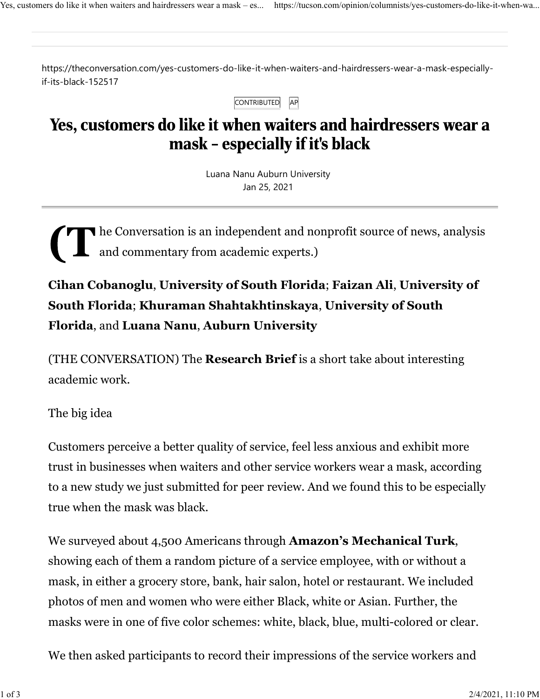https://theconversation.com/yes-customers-do-like-it-when-waiters-and-hairdressers-wear-a-mask-especiallyif-its-black-152517

| <b>ONTRIBUTED</b> |  |
|-------------------|--|
|-------------------|--|

## Yes, customers do like it when waiters and hairdressers wear a mask - especially if it's black

Luana Nanu Auburn University Jan 25, 2021

he Conversation is an independent and nonprofit source of news, analysis and commentary from academic experts.)

Cihan Cobanoglu, University of South Florida; Faizan Ali, University of South Florida; Khuraman Shahtakhtinskaya, University of South Florida, and Luana Nanu, Auburn University

(THE CONVERSATION) The Research Brief is a short take about interesting academic work.

The big idea

Customers perceive a better quality of service, feel less anxious and exhibit more trust in businesses when waiters and other service workers wear a mask, according to a new study we just submitted for peer review. And we found this to be especially true when the mask was black.

We surveyed about 4,500 Americans through **Amazon's Mechanical Turk**, showing each of them a random picture of a service employee, with or without a mask, in either a grocery store, bank, hair salon, hotel or restaurant. We included photos of men and women who were either Black, white or Asian. Further, the masks were in one of five color schemes: white, black, blue, multi-colored or clear.

We then asked participants to record their impressions of the service workers and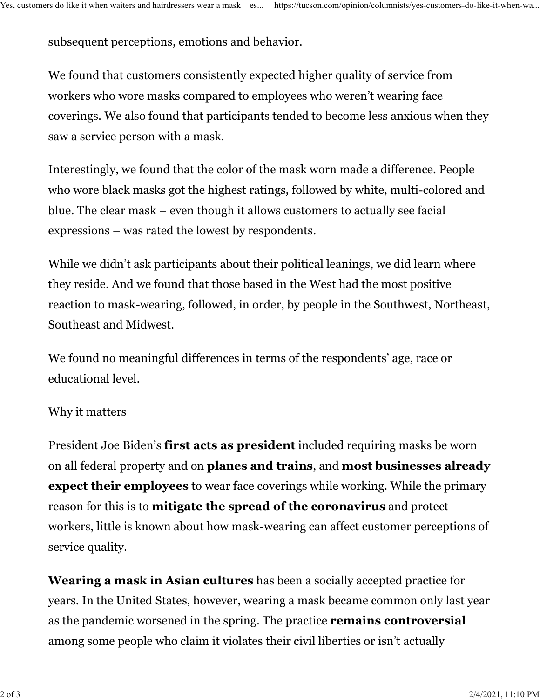subsequent perceptions, emotions and behavior. Yes, customers do like it when waiters and hairdressers wear a mask – es... https://tucson.com/opinion/columnists/yes-customers-do-like-it-when-wa...

We found that customers consistently expected higher quality of service from workers who wore masks compared to employees who weren't wearing face coverings. We also found that participants tended to become less anxious when they saw a service person with a mask.

Interestingly, we found that the color of the mask worn made a difference. People who wore black masks got the highest ratings, followed by white, multi-colored and blue. The clear mask – even though it allows customers to actually see facial expressions – was rated the lowest by respondents.

While we didn't ask participants about their political leanings, we did learn where they reside. And we found that those based in the West had the most positive reaction to mask-wearing, followed, in order, by people in the Southwest, Northeast, Southeast and Midwest.

We found no meaningful differences in terms of the respondents' age, race or educational level.

## Why it matters

President Joe Biden's first acts as president included requiring masks be worn on all federal property and on planes and trains, and most businesses already expect their employees to wear face coverings while working. While the primary reason for this is to mitigate the spread of the coronavirus and protect workers, little is known about how mask-wearing can affect customer perceptions of service quality.

Wearing a mask in Asian cultures has been a socially accepted practice for years. In the United States, however, wearing a mask became common only last year as the pandemic worsened in the spring. The practice remains controversial among some people who claim it violates their civil liberties or isn't actually